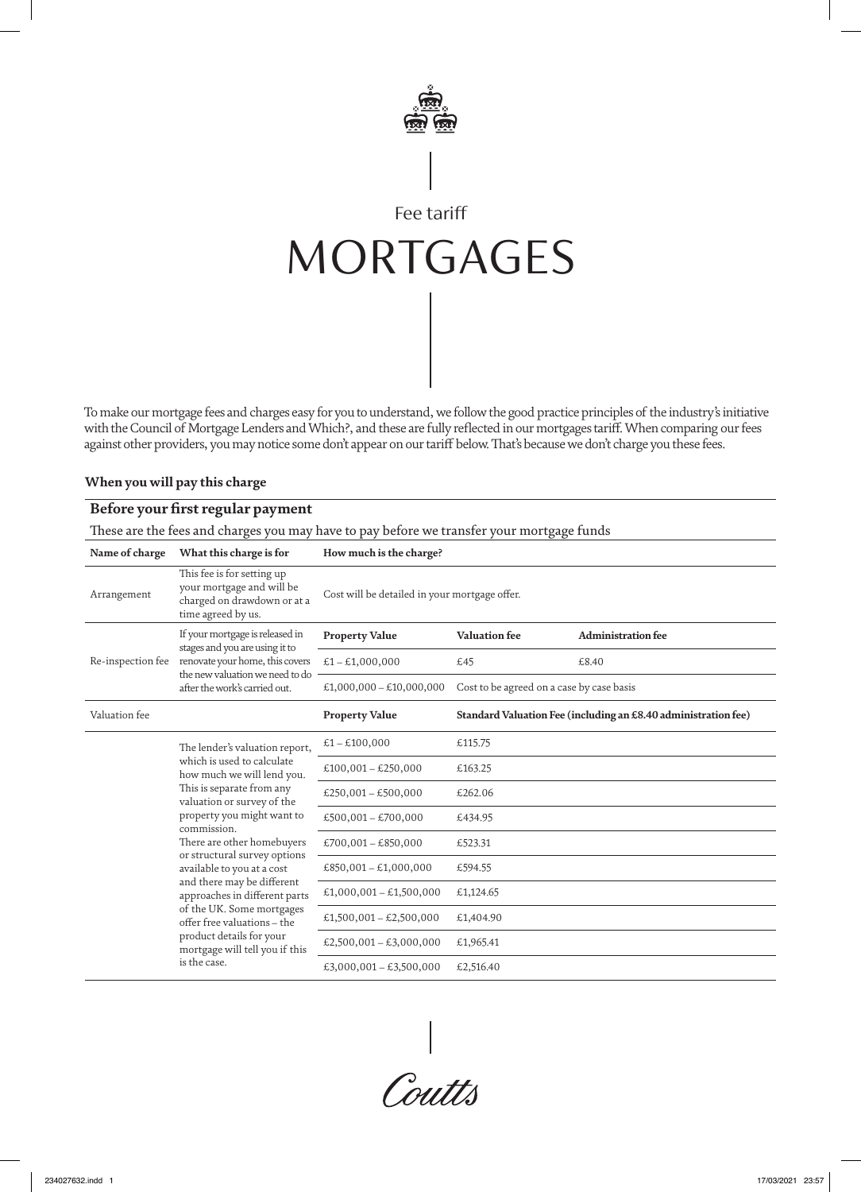

# Fee tariff MORTGAGES

To make our mortgage fees and charges easy for you to understand, we follow the good practice principles of the industry's initiative with the Council of Mortgage Lenders and Which?, and these are fully reflected in our mortgages tariff. When comparing our fees against other providers, you may notice some don't appear on our tariff below. That's because we don't charge you these fees.

#### **When you will pay this charge**

## **Before your first regular payment**

These are the fees and charges you may have to pay before we transfer your mortgage funds

| Name of charge    | What this charge is for                                                                                                                                                                                                                                                                                                                                                                                                                                                                                 | How much is the charge?                       |                                                                |                           |
|-------------------|---------------------------------------------------------------------------------------------------------------------------------------------------------------------------------------------------------------------------------------------------------------------------------------------------------------------------------------------------------------------------------------------------------------------------------------------------------------------------------------------------------|-----------------------------------------------|----------------------------------------------------------------|---------------------------|
| Arrangement       | This fee is for setting up<br>your mortgage and will be<br>charged on drawdown or at a<br>time agreed by us.                                                                                                                                                                                                                                                                                                                                                                                            | Cost will be detailed in your mortgage offer. |                                                                |                           |
| Re-inspection fee | If your mortgage is released in<br>stages and you are using it to<br>renovate your home, this covers<br>the new valuation we need to do<br>after the work's carried out.                                                                                                                                                                                                                                                                                                                                | <b>Property Value</b>                         | <b>Valuation fee</b>                                           | <b>Administration fee</b> |
|                   |                                                                                                                                                                                                                                                                                                                                                                                                                                                                                                         | $£1 - £1,000,000$                             | £45                                                            | £8.40                     |
|                   |                                                                                                                                                                                                                                                                                                                                                                                                                                                                                                         | £1,000,000 - £10,000,000                      | Cost to be agreed on a case by case basis                      |                           |
| Valuation fee     |                                                                                                                                                                                                                                                                                                                                                                                                                                                                                                         | <b>Property Value</b>                         | Standard Valuation Fee (including an £8.40 administration fee) |                           |
|                   | The lender's valuation report,<br>which is used to calculate<br>how much we will lend you.<br>This is separate from any<br>valuation or survey of the<br>property you might want to<br>commission.<br>There are other homebuyers<br>or structural survey options<br>available to you at a cost<br>and there may be different<br>approaches in different parts<br>of the UK. Some mortgages<br>offer free valuations - the<br>product details for your<br>mortgage will tell you if this<br>is the case. | £1 – £100,000                                 | £115.75                                                        |                           |
|                   |                                                                                                                                                                                                                                                                                                                                                                                                                                                                                                         | £100,001 - £250,000                           | £163.25                                                        |                           |
|                   |                                                                                                                                                                                                                                                                                                                                                                                                                                                                                                         | £250,001 - £500,000                           | £262.06                                                        |                           |
|                   |                                                                                                                                                                                                                                                                                                                                                                                                                                                                                                         | £500,001 - £700,000                           | £434.95                                                        |                           |
|                   |                                                                                                                                                                                                                                                                                                                                                                                                                                                                                                         | £700,001 - £850,000                           | £523.31                                                        |                           |
|                   |                                                                                                                                                                                                                                                                                                                                                                                                                                                                                                         | £850,001 - £1,000,000                         | £594.55                                                        |                           |
|                   |                                                                                                                                                                                                                                                                                                                                                                                                                                                                                                         | £1,000,001 - £1,500,000                       | £1,124.65                                                      |                           |
|                   |                                                                                                                                                                                                                                                                                                                                                                                                                                                                                                         | £1,500,001 - £2,500,000                       | £1,404.90                                                      |                           |
|                   |                                                                                                                                                                                                                                                                                                                                                                                                                                                                                                         | £2,500,001 - £3,000,000                       | £1,965.41                                                      |                           |
|                   |                                                                                                                                                                                                                                                                                                                                                                                                                                                                                                         | £3,000,001 - £3,500,000                       | £2,516.40                                                      |                           |

|<br>Coutts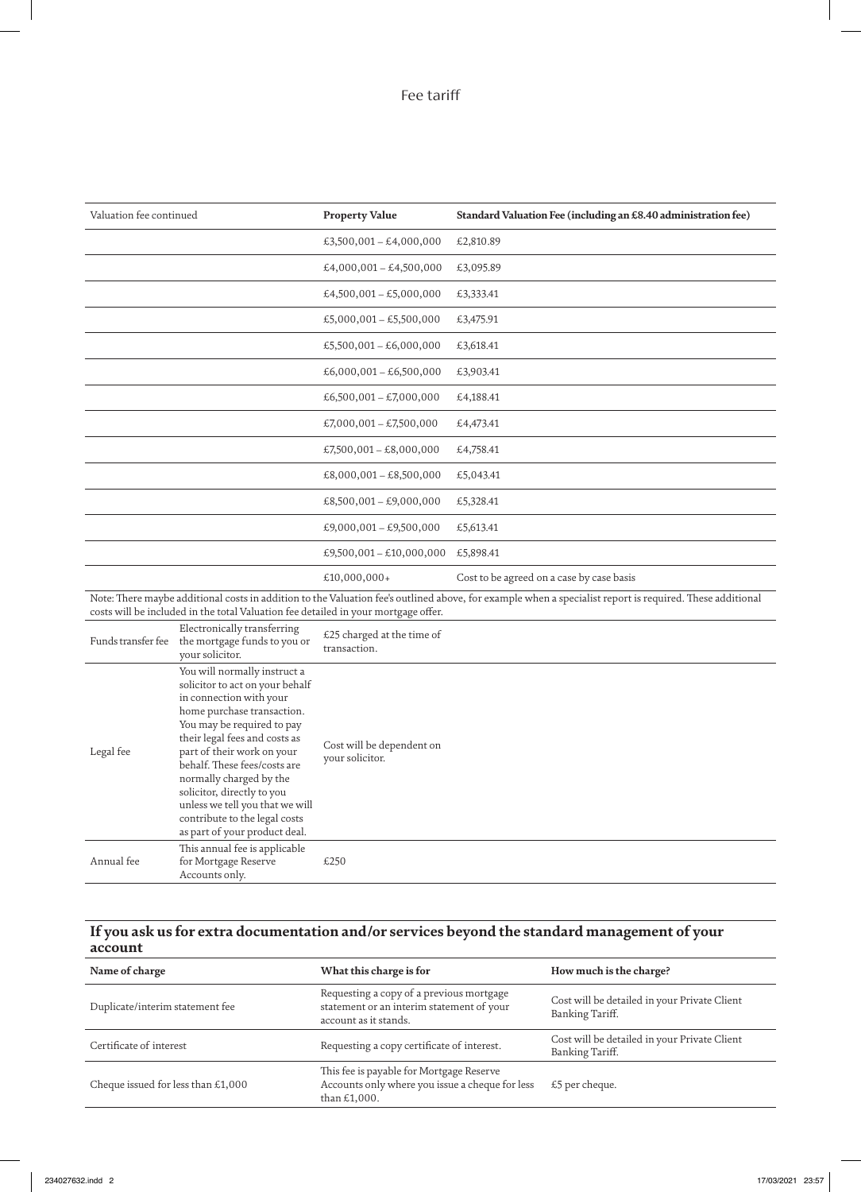# Fee tariff

| Valuation fee continued |                                                                                                                                                                                                                                                                                                                                                                                                                     | <b>Property Value</b>                        | Standard Valuation Fee (including an £8.40 administration fee)                                                                                           |
|-------------------------|---------------------------------------------------------------------------------------------------------------------------------------------------------------------------------------------------------------------------------------------------------------------------------------------------------------------------------------------------------------------------------------------------------------------|----------------------------------------------|----------------------------------------------------------------------------------------------------------------------------------------------------------|
|                         |                                                                                                                                                                                                                                                                                                                                                                                                                     | £3,500,001 - £4,000,000                      | £2,810.89                                                                                                                                                |
|                         |                                                                                                                                                                                                                                                                                                                                                                                                                     | £4,000,001 - £4,500,000                      | £3,095.89                                                                                                                                                |
|                         |                                                                                                                                                                                                                                                                                                                                                                                                                     | £4,500,001 - £5,000,000                      | £3,333.41                                                                                                                                                |
|                         |                                                                                                                                                                                                                                                                                                                                                                                                                     | £5,000,001 - £5,500,000                      | £3,475.91                                                                                                                                                |
|                         |                                                                                                                                                                                                                                                                                                                                                                                                                     | £5,500,001 - £6,000,000                      | £3,618.41                                                                                                                                                |
|                         |                                                                                                                                                                                                                                                                                                                                                                                                                     | £6,000,001 - £6,500,000                      | £3,903.41                                                                                                                                                |
|                         |                                                                                                                                                                                                                                                                                                                                                                                                                     | £6,500,001 - £7,000,000                      | £4,188.41                                                                                                                                                |
|                         |                                                                                                                                                                                                                                                                                                                                                                                                                     | £7,000,001 - £7,500,000                      | £4,473.41                                                                                                                                                |
|                         |                                                                                                                                                                                                                                                                                                                                                                                                                     | £7,500,001 - £8,000,000                      | £4,758.41                                                                                                                                                |
|                         |                                                                                                                                                                                                                                                                                                                                                                                                                     | £8,000,001 - £8,500,000                      | £5,043.41                                                                                                                                                |
|                         |                                                                                                                                                                                                                                                                                                                                                                                                                     | £8,500,001 - £9,000,000                      | £5,328.41                                                                                                                                                |
|                         |                                                                                                                                                                                                                                                                                                                                                                                                                     | £9,000,001 - £9,500,000                      | £5,613.41                                                                                                                                                |
|                         |                                                                                                                                                                                                                                                                                                                                                                                                                     | £9,500,001 - £10,000,000                     | £5,898.41                                                                                                                                                |
|                         |                                                                                                                                                                                                                                                                                                                                                                                                                     | £10,000,000+                                 | Cost to be agreed on a case by case basis                                                                                                                |
|                         | costs will be included in the total Valuation fee detailed in your mortgage offer.                                                                                                                                                                                                                                                                                                                                  |                                              | Note: There maybe additional costs in addition to the Valuation fee's outlined above, for example when a specialist report is required. These additional |
| Funds transfer fee      | Electronically transferring<br>the mortgage funds to you or<br>your solicitor.                                                                                                                                                                                                                                                                                                                                      | £25 charged at the time of<br>transaction.   |                                                                                                                                                          |
| Legal fee               | You will normally instruct a<br>solicitor to act on your behalf<br>in connection with your<br>home purchase transaction.<br>You may be required to pay<br>their legal fees and costs as<br>part of their work on your<br>behalf. These fees/costs are<br>normally charged by the<br>solicitor, directly to you<br>unless we tell you that we will<br>contribute to the legal costs<br>as part of your product deal. | Cost will be dependent on<br>your solicitor. |                                                                                                                                                          |
| Annual fee              | This annual fee is applicable<br>for Mortgage Reserve                                                                                                                                                                                                                                                                                                                                                               | £250                                         |                                                                                                                                                          |

## **If you ask us for extra documentation and/or services beyond the standard management of your account**

Accounts only.

| Name of charge                       | What this charge is for                                                                                        | How much is the charge?                                         |
|--------------------------------------|----------------------------------------------------------------------------------------------------------------|-----------------------------------------------------------------|
| Duplicate/interim statement fee      | Requesting a copy of a previous mortgage<br>statement or an interim statement of your<br>account as it stands. | Cost will be detailed in your Private Client<br>Banking Tariff. |
| Certificate of interest              | Requesting a copy certificate of interest.                                                                     | Cost will be detailed in your Private Client<br>Banking Tariff. |
| Cheque issued for less than $£1,000$ | This fee is payable for Mortgage Reserve<br>Accounts only where you issue a cheque for less<br>than £1,000.    | $£5$ per cheque.                                                |